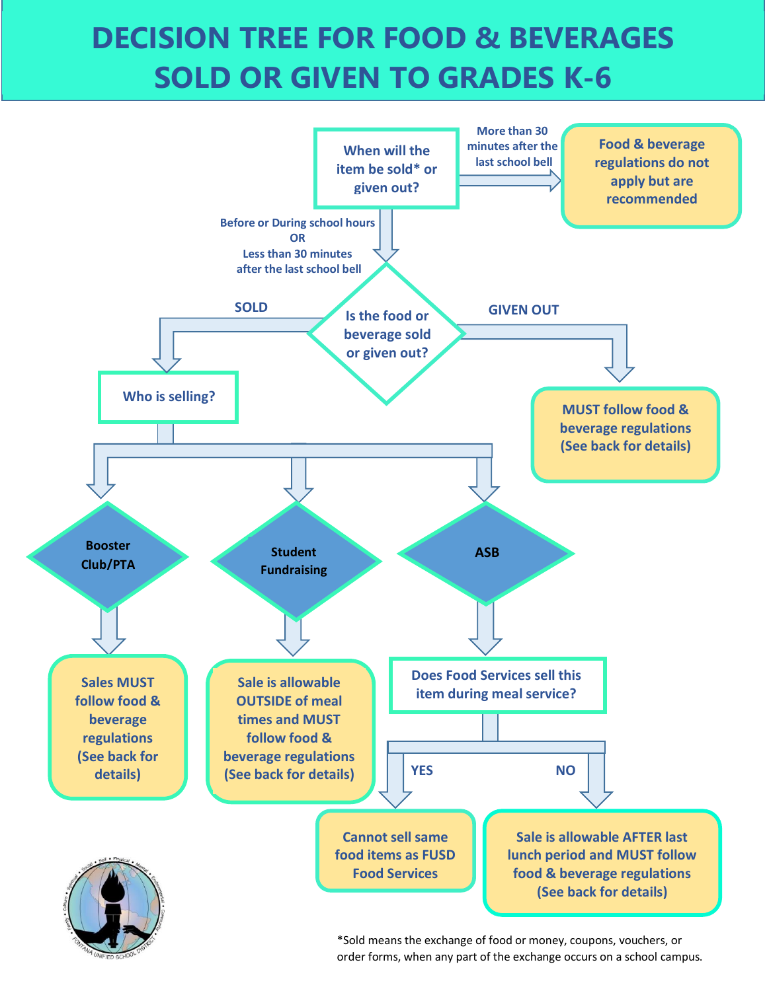## **DECISION TREE FOR FOOD & BEVERAGES SOLD OR GIVEN TO GRADES K-6**



\*Sold means the exchange of food or money, coupons, vouchers, or order forms, when any part of the exchange occurs on a school campus.